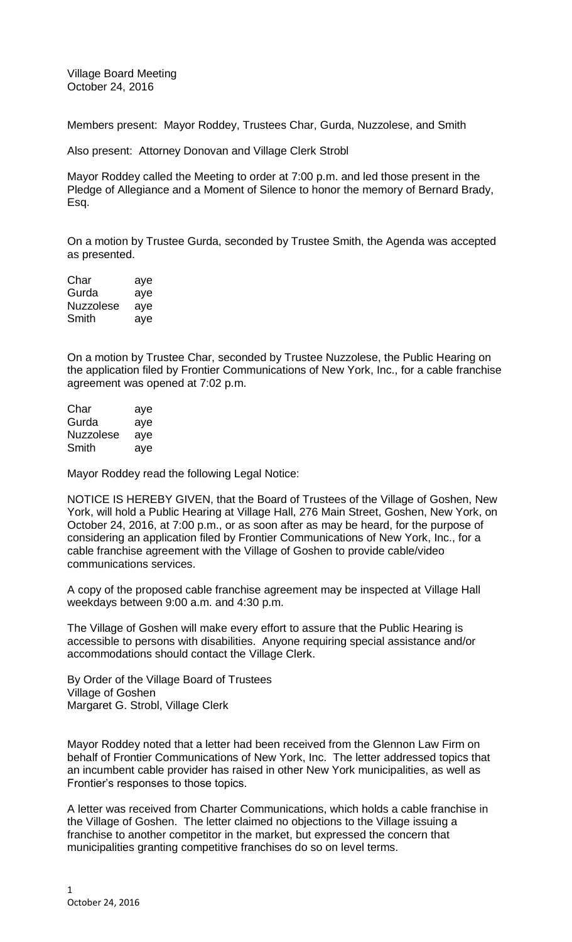Village Board Meeting October 24, 2016

Members present: Mayor Roddey, Trustees Char, Gurda, Nuzzolese, and Smith

Also present: Attorney Donovan and Village Clerk Strobl

Mayor Roddey called the Meeting to order at 7:00 p.m. and led those present in the Pledge of Allegiance and a Moment of Silence to honor the memory of Bernard Brady, Esq.

On a motion by Trustee Gurda, seconded by Trustee Smith, the Agenda was accepted as presented.

| Char             | aye |
|------------------|-----|
| Gurda            | aye |
| <b>Nuzzolese</b> | aye |
| Smith            | aye |

On a motion by Trustee Char, seconded by Trustee Nuzzolese, the Public Hearing on the application filed by Frontier Communications of New York, Inc., for a cable franchise agreement was opened at 7:02 p.m.

| Char             | aye |
|------------------|-----|
| Gurda            | aye |
| <b>Nuzzolese</b> | aye |
| Smith            | aye |

Mayor Roddey read the following Legal Notice:

NOTICE IS HEREBY GIVEN, that the Board of Trustees of the Village of Goshen, New York, will hold a Public Hearing at Village Hall, 276 Main Street, Goshen, New York, on October 24, 2016, at 7:00 p.m., or as soon after as may be heard, for the purpose of considering an application filed by Frontier Communications of New York, Inc., for a cable franchise agreement with the Village of Goshen to provide cable/video communications services.

A copy of the proposed cable franchise agreement may be inspected at Village Hall weekdays between 9:00 a.m. and 4:30 p.m.

The Village of Goshen will make every effort to assure that the Public Hearing is accessible to persons with disabilities. Anyone requiring special assistance and/or accommodations should contact the Village Clerk.

By Order of the Village Board of Trustees Village of Goshen Margaret G. Strobl, Village Clerk

Mayor Roddey noted that a letter had been received from the Glennon Law Firm on behalf of Frontier Communications of New York, Inc. The letter addressed topics that an incumbent cable provider has raised in other New York municipalities, as well as Frontier's responses to those topics.

A letter was received from Charter Communications, which holds a cable franchise in the Village of Goshen. The letter claimed no objections to the Village issuing a franchise to another competitor in the market, but expressed the concern that municipalities granting competitive franchises do so on level terms.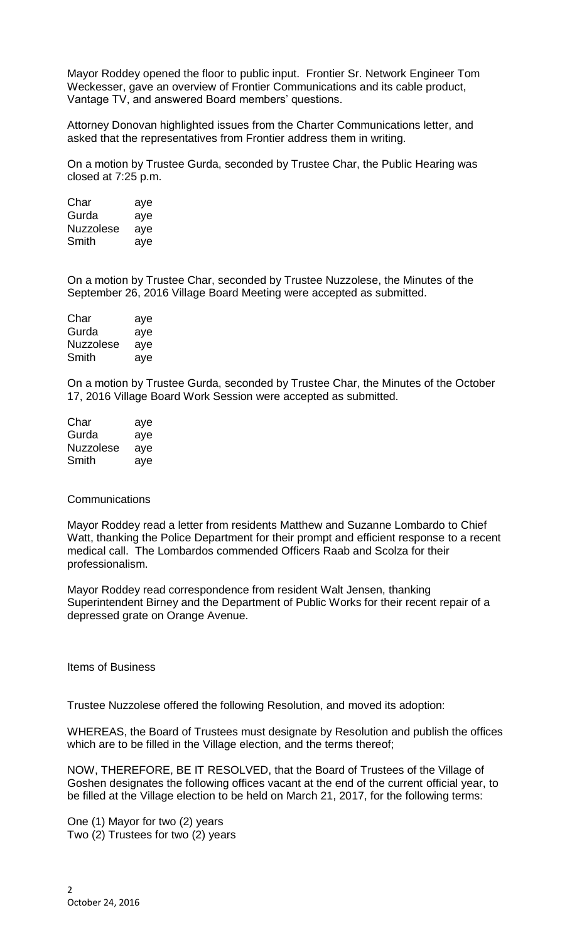Mayor Roddey opened the floor to public input. Frontier Sr. Network Engineer Tom Weckesser, gave an overview of Frontier Communications and its cable product, Vantage TV, and answered Board members' questions.

Attorney Donovan highlighted issues from the Charter Communications letter, and asked that the representatives from Frontier address them in writing.

On a motion by Trustee Gurda, seconded by Trustee Char, the Public Hearing was closed at 7:25 p.m.

Char aye Gurda aye Nuzzolese aye Smith aye

On a motion by Trustee Char, seconded by Trustee Nuzzolese, the Minutes of the September 26, 2016 Village Board Meeting were accepted as submitted.

| Char             | aye |
|------------------|-----|
| Gurda            | aye |
| <b>Nuzzolese</b> | aye |
| Smith            | aye |

On a motion by Trustee Gurda, seconded by Trustee Char, the Minutes of the October 17, 2016 Village Board Work Session were accepted as submitted.

| Char      | aye |
|-----------|-----|
| Gurda     | aye |
| Nuzzolese | ave |
| Smith     | aye |

### Communications

Mayor Roddey read a letter from residents Matthew and Suzanne Lombardo to Chief Watt, thanking the Police Department for their prompt and efficient response to a recent medical call. The Lombardos commended Officers Raab and Scolza for their professionalism.

Mayor Roddey read correspondence from resident Walt Jensen, thanking Superintendent Birney and the Department of Public Works for their recent repair of a depressed grate on Orange Avenue.

Items of Business

Trustee Nuzzolese offered the following Resolution, and moved its adoption:

WHEREAS, the Board of Trustees must designate by Resolution and publish the offices which are to be filled in the Village election, and the terms thereof;

NOW, THEREFORE, BE IT RESOLVED, that the Board of Trustees of the Village of Goshen designates the following offices vacant at the end of the current official year, to be filled at the Village election to be held on March 21, 2017, for the following terms:

One (1) Mayor for two (2) years Two (2) Trustees for two (2) years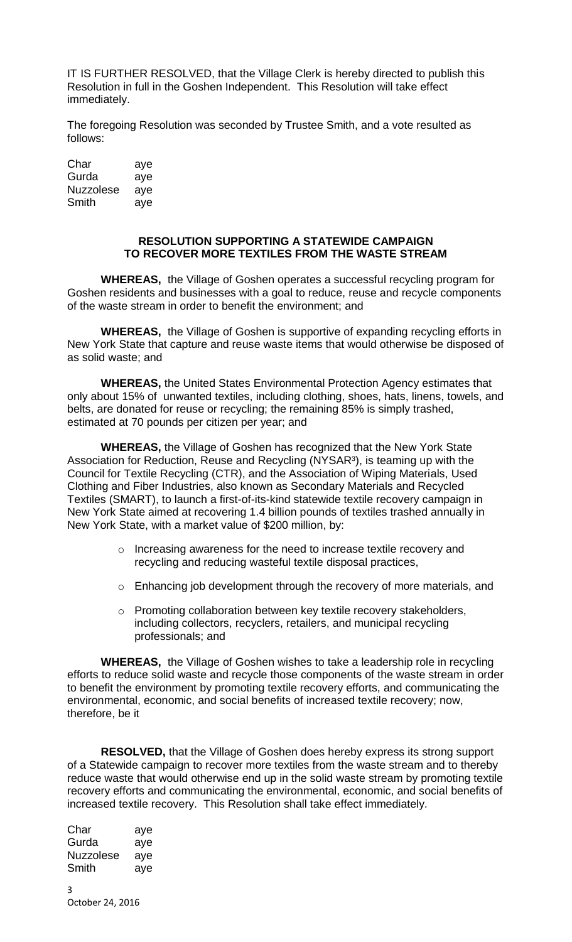IT IS FURTHER RESOLVED, that the Village Clerk is hereby directed to publish this Resolution in full in the Goshen Independent. This Resolution will take effect immediately.

The foregoing Resolution was seconded by Trustee Smith, and a vote resulted as follows:

| Char      | aye |
|-----------|-----|
| Gurda     | aye |
| Nuzzolese | aye |
| Smith     | aye |

#### **RESOLUTION SUPPORTING A STATEWIDE CAMPAIGN TO RECOVER MORE TEXTILES FROM THE WASTE STREAM**

**WHEREAS,** the Village of Goshen operates a successful recycling program for Goshen residents and businesses with a goal to reduce, reuse and recycle components of the waste stream in order to benefit the environment; and

**WHEREAS,** the Village of Goshen is supportive of expanding recycling efforts in New York State that capture and reuse waste items that would otherwise be disposed of as solid waste; and

**WHEREAS,** the United States Environmental Protection Agency estimates that only about 15% of unwanted textiles, including clothing, shoes, hats, linens, towels, and belts, are donated for reuse or recycling; the remaining 85% is simply trashed, estimated at 70 pounds per citizen per year; and

**WHEREAS,** the Village of Goshen has recognized that the New York State Association for Reduction, Reuse and Recycling (NYSAR<sup>3</sup>), is teaming up with the Council for Textile Recycling (CTR), and the Association of Wiping Materials, Used Clothing and Fiber Industries, also known as Secondary Materials and Recycled Textiles (SMART), to launch a first-of-its-kind statewide textile recovery campaign in New York State aimed at recovering 1.4 billion pounds of textiles trashed annually in New York State, with a market value of \$200 million, by:

- o Increasing awareness for the need to increase textile recovery and recycling and reducing wasteful textile disposal practices,
- o Enhancing job development through the recovery of more materials, and
- o Promoting collaboration between key textile recovery stakeholders, including collectors, recyclers, retailers, and municipal recycling professionals; and

**WHEREAS,** the Village of Goshen wishes to take a leadership role in recycling efforts to reduce solid waste and recycle those components of the waste stream in order to benefit the environment by promoting textile recovery efforts, and communicating the environmental, economic, and social benefits of increased textile recovery; now, therefore, be it

**RESOLVED,** that the Village of Goshen does hereby express its strong support of a Statewide campaign to recover more textiles from the waste stream and to thereby reduce waste that would otherwise end up in the solid waste stream by promoting textile recovery efforts and communicating the environmental, economic, and social benefits of increased textile recovery. This Resolution shall take effect immediately.

| Char             | aye |
|------------------|-----|
| Gurda            | aye |
| <b>Nuzzolese</b> | aye |
| Smith            | aye |
|                  |     |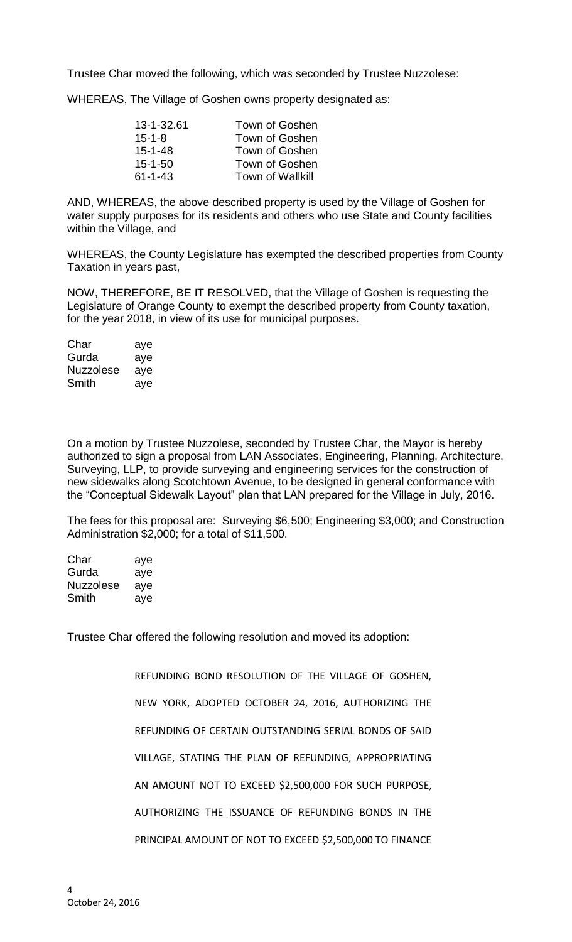Trustee Char moved the following, which was seconded by Trustee Nuzzolese:

WHEREAS, The Village of Goshen owns property designated as:

| Town of Goshen          |
|-------------------------|
| Town of Goshen          |
| Town of Goshen          |
| Town of Goshen          |
| <b>Town of Wallkill</b> |
|                         |

AND, WHEREAS, the above described property is used by the Village of Goshen for water supply purposes for its residents and others who use State and County facilities within the Village, and

WHEREAS, the County Legislature has exempted the described properties from County Taxation in years past,

NOW, THEREFORE, BE IT RESOLVED, that the Village of Goshen is requesting the Legislature of Orange County to exempt the described property from County taxation, for the year 2018, in view of its use for municipal purposes.

| Char             | aye |
|------------------|-----|
| Gurda            | aye |
| <b>Nuzzolese</b> | aye |
| Smith            | aye |

On a motion by Trustee Nuzzolese, seconded by Trustee Char, the Mayor is hereby authorized to sign a proposal from LAN Associates, Engineering, Planning, Architecture, Surveying, LLP, to provide surveying and engineering services for the construction of new sidewalks along Scotchtown Avenue, to be designed in general conformance with the "Conceptual Sidewalk Layout" plan that LAN prepared for the Village in July, 2016.

The fees for this proposal are: Surveying \$6,500; Engineering \$3,000; and Construction Administration \$2,000; for a total of \$11,500.

| Char      | aye |
|-----------|-----|
| Gurda     | aye |
| Nuzzolese | aye |
| Smith     | aye |

Trustee Char offered the following resolution and moved its adoption:

REFUNDING BOND RESOLUTION OF THE VILLAGE OF GOSHEN, NEW YORK, ADOPTED OCTOBER 24, 2016, AUTHORIZING THE REFUNDING OF CERTAIN OUTSTANDING SERIAL BONDS OF SAID VILLAGE, STATING THE PLAN OF REFUNDING, APPROPRIATING AN AMOUNT NOT TO EXCEED \$2,500,000 FOR SUCH PURPOSE, AUTHORIZING THE ISSUANCE OF REFUNDING BONDS IN THE PRINCIPAL AMOUNT OF NOT TO EXCEED \$2,500,000 TO FINANCE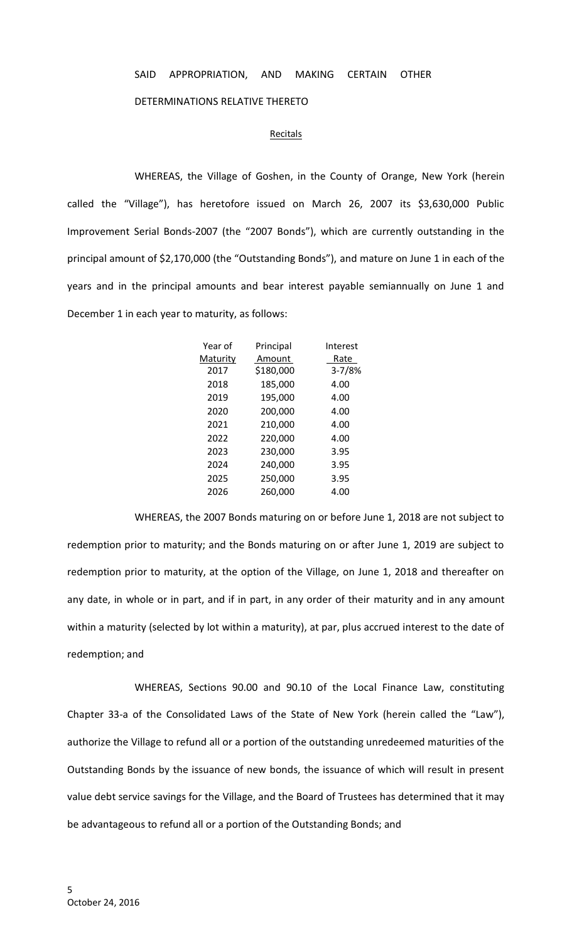## SAID APPROPRIATION, AND MAKING CERTAIN OTHER

### DETERMINATIONS RELATIVE THERETO

#### **Recitals**

WHEREAS, the Village of Goshen, in the County of Orange, New York (herein called the "Village"), has heretofore issued on March 26, 2007 its \$3,630,000 Public Improvement Serial Bonds-2007 (the "2007 Bonds"), which are currently outstanding in the principal amount of \$2,170,000 (the "Outstanding Bonds"), and mature on June 1 in each of the years and in the principal amounts and bear interest payable semiannually on June 1 and December 1 in each year to maturity, as follows:

| Year of  | Principal | Interest   |
|----------|-----------|------------|
| Maturity | Amount    | Rate       |
| 2017     | \$180,000 | $3 - 7/8%$ |
| 2018     | 185,000   | 4.00       |
| 2019     | 195,000   | 4.00       |
| 2020     | 200,000   | 4.00       |
| 2021     | 210,000   | 4.00       |
| 2022     | 220,000   | 4.00       |
| 2023     | 230,000   | 3.95       |
| 2024     | 240,000   | 3.95       |
| 2025     | 250,000   | 3.95       |
| 2026     | 260.000   | 4.00       |

WHEREAS, the 2007 Bonds maturing on or before June 1, 2018 are not subject to redemption prior to maturity; and the Bonds maturing on or after June 1, 2019 are subject to redemption prior to maturity, at the option of the Village, on June 1, 2018 and thereafter on any date, in whole or in part, and if in part, in any order of their maturity and in any amount within a maturity (selected by lot within a maturity), at par, plus accrued interest to the date of redemption; and

WHEREAS, Sections 90.00 and 90.10 of the Local Finance Law, constituting Chapter 33-a of the Consolidated Laws of the State of New York (herein called the "Law"), authorize the Village to refund all or a portion of the outstanding unredeemed maturities of the Outstanding Bonds by the issuance of new bonds, the issuance of which will result in present value debt service savings for the Village, and the Board of Trustees has determined that it may be advantageous to refund all or a portion of the Outstanding Bonds; and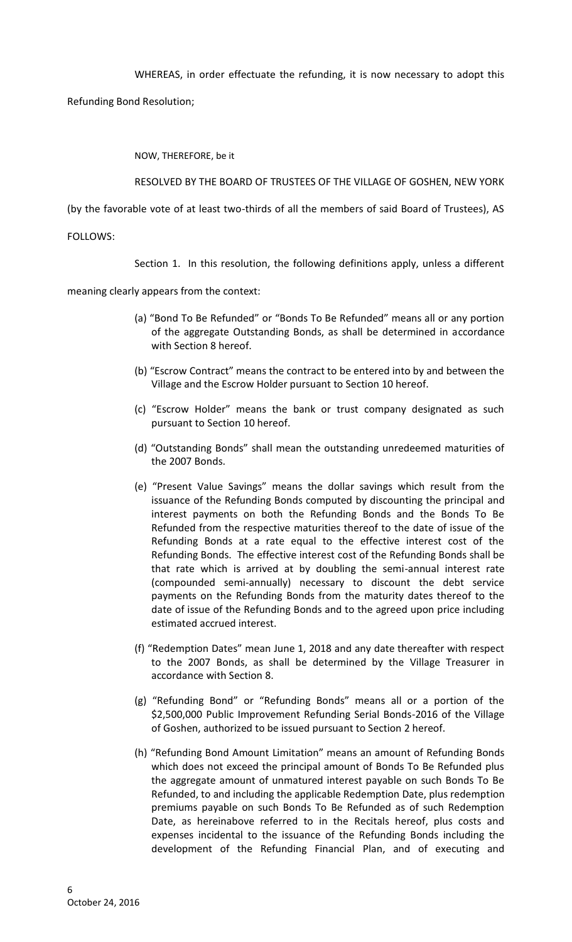WHEREAS, in order effectuate the refunding, it is now necessary to adopt this

Refunding Bond Resolution;

NOW, THEREFORE, be it

RESOLVED BY THE BOARD OF TRUSTEES OF THE VILLAGE OF GOSHEN, NEW YORK

(by the favorable vote of at least two-thirds of all the members of said Board of Trustees), AS

FOLLOWS:

Section 1. In this resolution, the following definitions apply, unless a different

meaning clearly appears from the context:

- (a) "Bond To Be Refunded" or "Bonds To Be Refunded" means all or any portion of the aggregate Outstanding Bonds, as shall be determined in accordance with Section 8 hereof.
- (b) "Escrow Contract" means the contract to be entered into by and between the Village and the Escrow Holder pursuant to Section 10 hereof.
- (c) "Escrow Holder" means the bank or trust company designated as such pursuant to Section 10 hereof.
- (d) "Outstanding Bonds" shall mean the outstanding unredeemed maturities of the 2007 Bonds.
- (e) "Present Value Savings" means the dollar savings which result from the issuance of the Refunding Bonds computed by discounting the principal and interest payments on both the Refunding Bonds and the Bonds To Be Refunded from the respective maturities thereof to the date of issue of the Refunding Bonds at a rate equal to the effective interest cost of the Refunding Bonds. The effective interest cost of the Refunding Bonds shall be that rate which is arrived at by doubling the semi-annual interest rate (compounded semi-annually) necessary to discount the debt service payments on the Refunding Bonds from the maturity dates thereof to the date of issue of the Refunding Bonds and to the agreed upon price including estimated accrued interest.
- (f) "Redemption Dates" mean June 1, 2018 and any date thereafter with respect to the 2007 Bonds, as shall be determined by the Village Treasurer in accordance with Section 8.
- (g) "Refunding Bond" or "Refunding Bonds" means all or a portion of the \$2,500,000 Public Improvement Refunding Serial Bonds-2016 of the Village of Goshen, authorized to be issued pursuant to Section 2 hereof.
- (h) "Refunding Bond Amount Limitation" means an amount of Refunding Bonds which does not exceed the principal amount of Bonds To Be Refunded plus the aggregate amount of unmatured interest payable on such Bonds To Be Refunded, to and including the applicable Redemption Date, plus redemption premiums payable on such Bonds To Be Refunded as of such Redemption Date, as hereinabove referred to in the Recitals hereof, plus costs and expenses incidental to the issuance of the Refunding Bonds including the development of the Refunding Financial Plan, and of executing and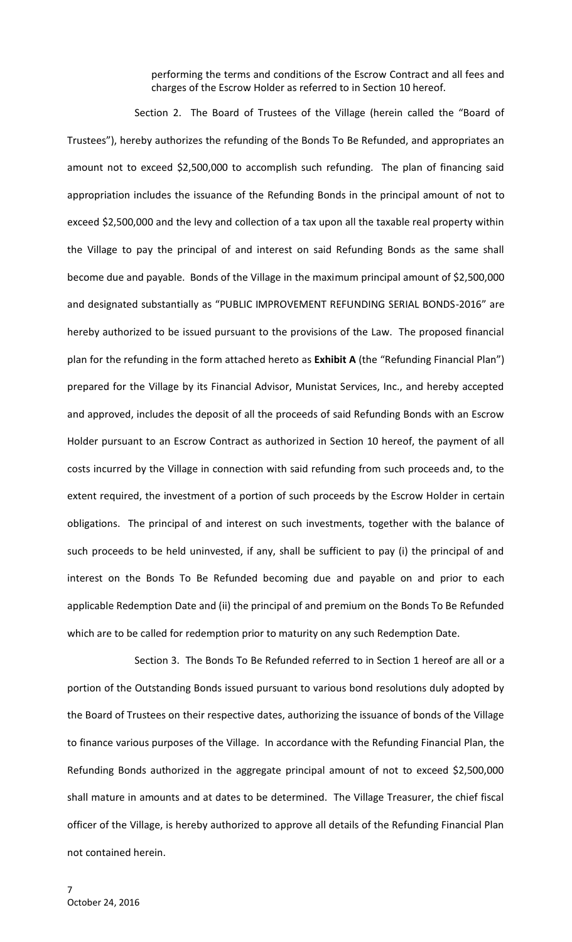performing the terms and conditions of the Escrow Contract and all fees and charges of the Escrow Holder as referred to in Section 10 hereof.

Section 2. The Board of Trustees of the Village (herein called the "Board of Trustees"), hereby authorizes the refunding of the Bonds To Be Refunded, and appropriates an amount not to exceed \$2,500,000 to accomplish such refunding. The plan of financing said appropriation includes the issuance of the Refunding Bonds in the principal amount of not to exceed \$2,500,000 and the levy and collection of a tax upon all the taxable real property within the Village to pay the principal of and interest on said Refunding Bonds as the same shall become due and payable. Bonds of the Village in the maximum principal amount of \$2,500,000 and designated substantially as "PUBLIC IMPROVEMENT REFUNDING SERIAL BONDS-2016" are hereby authorized to be issued pursuant to the provisions of the Law. The proposed financial plan for the refunding in the form attached hereto as **Exhibit A** (the "Refunding Financial Plan") prepared for the Village by its Financial Advisor, Munistat Services, Inc., and hereby accepted and approved, includes the deposit of all the proceeds of said Refunding Bonds with an Escrow Holder pursuant to an Escrow Contract as authorized in Section 10 hereof, the payment of all costs incurred by the Village in connection with said refunding from such proceeds and, to the extent required, the investment of a portion of such proceeds by the Escrow Holder in certain obligations. The principal of and interest on such investments, together with the balance of such proceeds to be held uninvested, if any, shall be sufficient to pay (i) the principal of and interest on the Bonds To Be Refunded becoming due and payable on and prior to each applicable Redemption Date and (ii) the principal of and premium on the Bonds To Be Refunded which are to be called for redemption prior to maturity on any such Redemption Date.

Section 3. The Bonds To Be Refunded referred to in Section 1 hereof are all or a portion of the Outstanding Bonds issued pursuant to various bond resolutions duly adopted by the Board of Trustees on their respective dates, authorizing the issuance of bonds of the Village to finance various purposes of the Village. In accordance with the Refunding Financial Plan, the Refunding Bonds authorized in the aggregate principal amount of not to exceed \$2,500,000 shall mature in amounts and at dates to be determined. The Village Treasurer, the chief fiscal officer of the Village, is hereby authorized to approve all details of the Refunding Financial Plan not contained herein.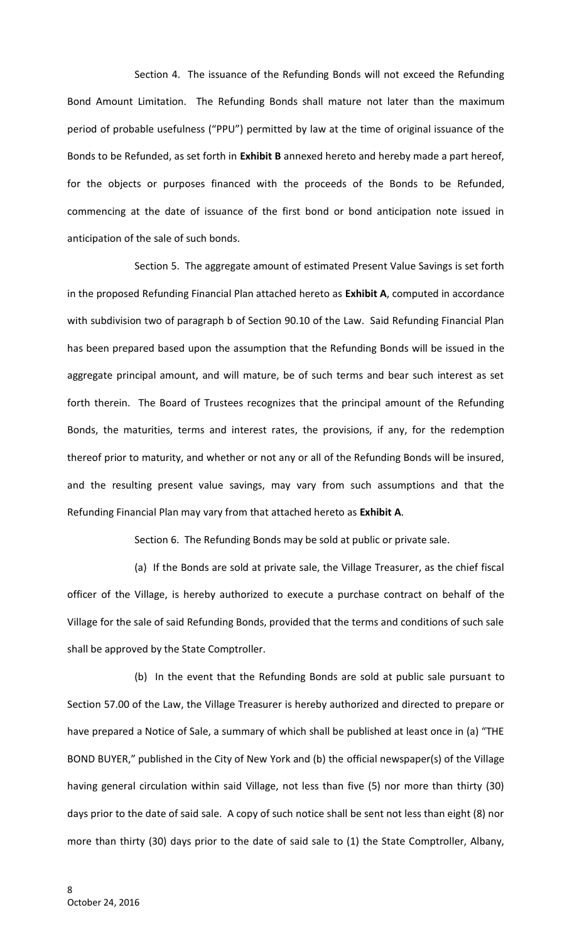Section 4. The issuance of the Refunding Bonds will not exceed the Refunding Bond Amount Limitation. The Refunding Bonds shall mature not later than the maximum period of probable usefulness ("PPU") permitted by law at the time of original issuance of the Bonds to be Refunded, as set forth in **Exhibit B** annexed hereto and hereby made a part hereof, for the objects or purposes financed with the proceeds of the Bonds to be Refunded, commencing at the date of issuance of the first bond or bond anticipation note issued in anticipation of the sale of such bonds.

Section 5. The aggregate amount of estimated Present Value Savings is set forth in the proposed Refunding Financial Plan attached hereto as **Exhibit A**, computed in accordance with subdivision two of paragraph b of Section 90.10 of the Law. Said Refunding Financial Plan has been prepared based upon the assumption that the Refunding Bonds will be issued in the aggregate principal amount, and will mature, be of such terms and bear such interest as set forth therein. The Board of Trustees recognizes that the principal amount of the Refunding Bonds, the maturities, terms and interest rates, the provisions, if any, for the redemption thereof prior to maturity, and whether or not any or all of the Refunding Bonds will be insured, and the resulting present value savings, may vary from such assumptions and that the Refunding Financial Plan may vary from that attached hereto as **Exhibit A**.

Section 6. The Refunding Bonds may be sold at public or private sale.

(a) If the Bonds are sold at private sale, the Village Treasurer, as the chief fiscal officer of the Village, is hereby authorized to execute a purchase contract on behalf of the Village for the sale of said Refunding Bonds, provided that the terms and conditions of such sale shall be approved by the State Comptroller.

(b) In the event that the Refunding Bonds are sold at public sale pursuant to Section 57.00 of the Law, the Village Treasurer is hereby authorized and directed to prepare or have prepared a Notice of Sale, a summary of which shall be published at least once in (a) "THE BOND BUYER," published in the City of New York and (b) the official newspaper(s) of the Village having general circulation within said Village, not less than five (5) nor more than thirty (30) days prior to the date of said sale. A copy of such notice shall be sent not less than eight (8) nor more than thirty (30) days prior to the date of said sale to (1) the State Comptroller, Albany,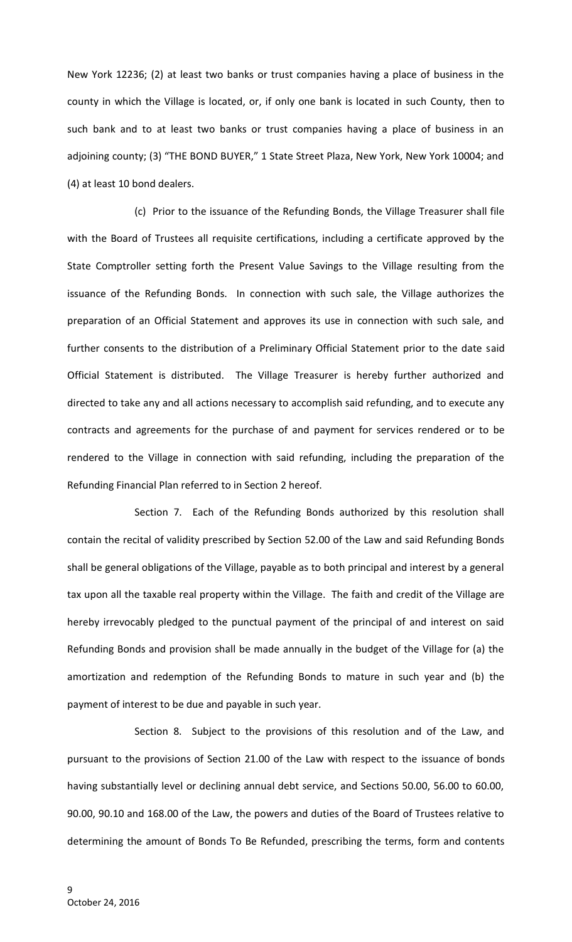New York 12236; (2) at least two banks or trust companies having a place of business in the county in which the Village is located, or, if only one bank is located in such County, then to such bank and to at least two banks or trust companies having a place of business in an adjoining county; (3) "THE BOND BUYER," 1 State Street Plaza, New York, New York 10004; and (4) at least 10 bond dealers.

(c) Prior to the issuance of the Refunding Bonds, the Village Treasurer shall file with the Board of Trustees all requisite certifications, including a certificate approved by the State Comptroller setting forth the Present Value Savings to the Village resulting from the issuance of the Refunding Bonds. In connection with such sale, the Village authorizes the preparation of an Official Statement and approves its use in connection with such sale, and further consents to the distribution of a Preliminary Official Statement prior to the date said Official Statement is distributed. The Village Treasurer is hereby further authorized and directed to take any and all actions necessary to accomplish said refunding, and to execute any contracts and agreements for the purchase of and payment for services rendered or to be rendered to the Village in connection with said refunding, including the preparation of the Refunding Financial Plan referred to in Section 2 hereof.

Section 7. Each of the Refunding Bonds authorized by this resolution shall contain the recital of validity prescribed by Section 52.00 of the Law and said Refunding Bonds shall be general obligations of the Village, payable as to both principal and interest by a general tax upon all the taxable real property within the Village. The faith and credit of the Village are hereby irrevocably pledged to the punctual payment of the principal of and interest on said Refunding Bonds and provision shall be made annually in the budget of the Village for (a) the amortization and redemption of the Refunding Bonds to mature in such year and (b) the payment of interest to be due and payable in such year.

Section 8. Subject to the provisions of this resolution and of the Law, and pursuant to the provisions of Section 21.00 of the Law with respect to the issuance of bonds having substantially level or declining annual debt service, and Sections 50.00, 56.00 to 60.00, 90.00, 90.10 and 168.00 of the Law, the powers and duties of the Board of Trustees relative to determining the amount of Bonds To Be Refunded, prescribing the terms, form and contents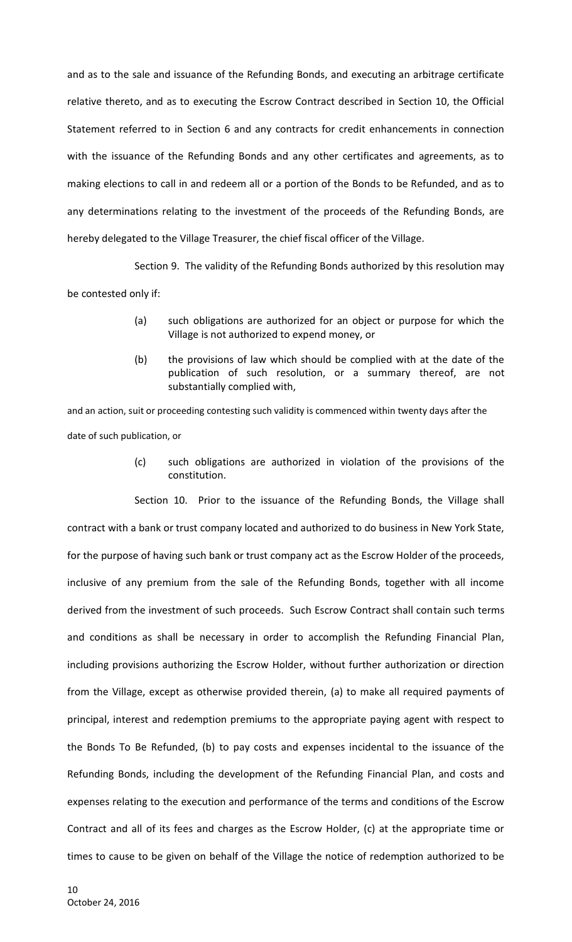and as to the sale and issuance of the Refunding Bonds, and executing an arbitrage certificate relative thereto, and as to executing the Escrow Contract described in Section 10, the Official Statement referred to in Section 6 and any contracts for credit enhancements in connection with the issuance of the Refunding Bonds and any other certificates and agreements, as to making elections to call in and redeem all or a portion of the Bonds to be Refunded, and as to any determinations relating to the investment of the proceeds of the Refunding Bonds, are hereby delegated to the Village Treasurer, the chief fiscal officer of the Village.

Section 9. The validity of the Refunding Bonds authorized by this resolution may be contested only if:

- (a) such obligations are authorized for an object or purpose for which the Village is not authorized to expend money, or
- (b) the provisions of law which should be complied with at the date of the publication of such resolution, or a summary thereof, are not substantially complied with,

and an action, suit or proceeding contesting such validity is commenced within twenty days after the date of such publication, or

> (c) such obligations are authorized in violation of the provisions of the constitution.

Section 10. Prior to the issuance of the Refunding Bonds, the Village shall contract with a bank or trust company located and authorized to do business in New York State, for the purpose of having such bank or trust company act as the Escrow Holder of the proceeds, inclusive of any premium from the sale of the Refunding Bonds, together with all income derived from the investment of such proceeds. Such Escrow Contract shall contain such terms and conditions as shall be necessary in order to accomplish the Refunding Financial Plan, including provisions authorizing the Escrow Holder, without further authorization or direction from the Village, except as otherwise provided therein, (a) to make all required payments of principal, interest and redemption premiums to the appropriate paying agent with respect to the Bonds To Be Refunded, (b) to pay costs and expenses incidental to the issuance of the Refunding Bonds, including the development of the Refunding Financial Plan, and costs and expenses relating to the execution and performance of the terms and conditions of the Escrow Contract and all of its fees and charges as the Escrow Holder, (c) at the appropriate time or times to cause to be given on behalf of the Village the notice of redemption authorized to be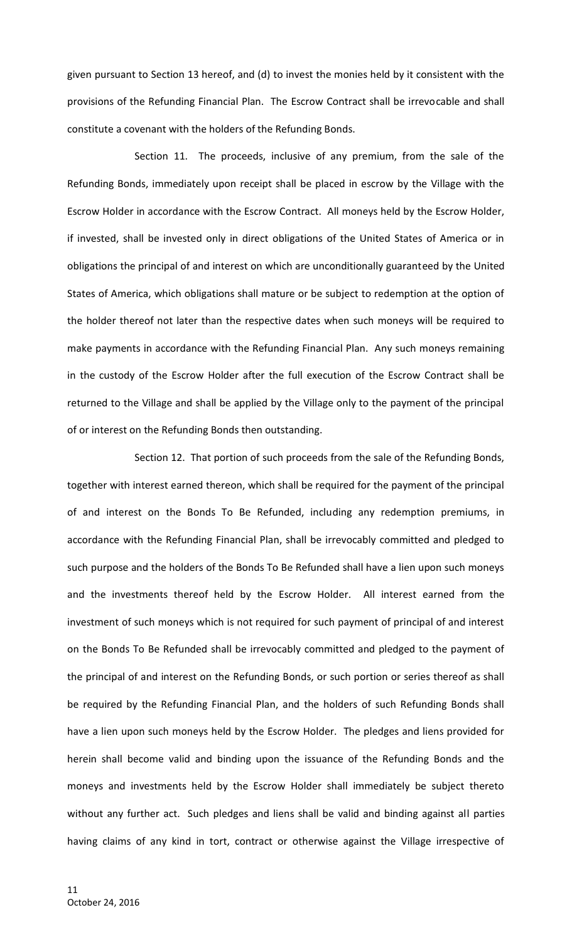given pursuant to Section 13 hereof, and (d) to invest the monies held by it consistent with the provisions of the Refunding Financial Plan. The Escrow Contract shall be irrevocable and shall constitute a covenant with the holders of the Refunding Bonds.

Section 11. The proceeds, inclusive of any premium, from the sale of the Refunding Bonds, immediately upon receipt shall be placed in escrow by the Village with the Escrow Holder in accordance with the Escrow Contract. All moneys held by the Escrow Holder, if invested, shall be invested only in direct obligations of the United States of America or in obligations the principal of and interest on which are unconditionally guaranteed by the United States of America, which obligations shall mature or be subject to redemption at the option of the holder thereof not later than the respective dates when such moneys will be required to make payments in accordance with the Refunding Financial Plan. Any such moneys remaining in the custody of the Escrow Holder after the full execution of the Escrow Contract shall be returned to the Village and shall be applied by the Village only to the payment of the principal of or interest on the Refunding Bonds then outstanding.

Section 12. That portion of such proceeds from the sale of the Refunding Bonds, together with interest earned thereon, which shall be required for the payment of the principal of and interest on the Bonds To Be Refunded, including any redemption premiums, in accordance with the Refunding Financial Plan, shall be irrevocably committed and pledged to such purpose and the holders of the Bonds To Be Refunded shall have a lien upon such moneys and the investments thereof held by the Escrow Holder. All interest earned from the investment of such moneys which is not required for such payment of principal of and interest on the Bonds To Be Refunded shall be irrevocably committed and pledged to the payment of the principal of and interest on the Refunding Bonds, or such portion or series thereof as shall be required by the Refunding Financial Plan, and the holders of such Refunding Bonds shall have a lien upon such moneys held by the Escrow Holder. The pledges and liens provided for herein shall become valid and binding upon the issuance of the Refunding Bonds and the moneys and investments held by the Escrow Holder shall immediately be subject thereto without any further act. Such pledges and liens shall be valid and binding against all parties having claims of any kind in tort, contract or otherwise against the Village irrespective of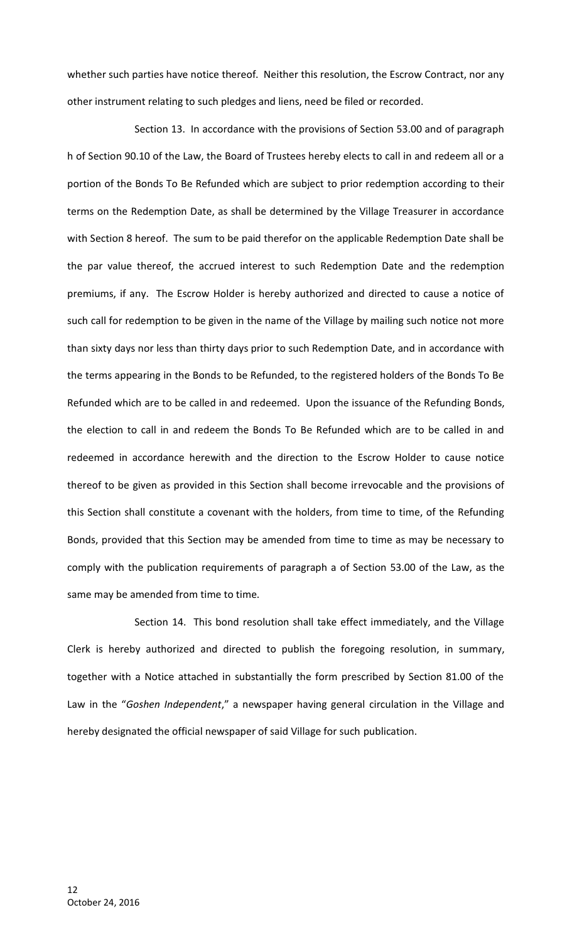whether such parties have notice thereof. Neither this resolution, the Escrow Contract, nor any other instrument relating to such pledges and liens, need be filed or recorded.

Section 13. In accordance with the provisions of Section 53.00 and of paragraph h of Section 90.10 of the Law, the Board of Trustees hereby elects to call in and redeem all or a portion of the Bonds To Be Refunded which are subject to prior redemption according to their terms on the Redemption Date, as shall be determined by the Village Treasurer in accordance with Section 8 hereof. The sum to be paid therefor on the applicable Redemption Date shall be the par value thereof, the accrued interest to such Redemption Date and the redemption premiums, if any. The Escrow Holder is hereby authorized and directed to cause a notice of such call for redemption to be given in the name of the Village by mailing such notice not more than sixty days nor less than thirty days prior to such Redemption Date, and in accordance with the terms appearing in the Bonds to be Refunded, to the registered holders of the Bonds To Be Refunded which are to be called in and redeemed. Upon the issuance of the Refunding Bonds, the election to call in and redeem the Bonds To Be Refunded which are to be called in and redeemed in accordance herewith and the direction to the Escrow Holder to cause notice thereof to be given as provided in this Section shall become irrevocable and the provisions of this Section shall constitute a covenant with the holders, from time to time, of the Refunding Bonds, provided that this Section may be amended from time to time as may be necessary to comply with the publication requirements of paragraph a of Section 53.00 of the Law, as the same may be amended from time to time.

Section 14. This bond resolution shall take effect immediately, and the Village Clerk is hereby authorized and directed to publish the foregoing resolution, in summary, together with a Notice attached in substantially the form prescribed by Section 81.00 of the Law in the "*Goshen Independent*," a newspaper having general circulation in the Village and hereby designated the official newspaper of said Village for such publication.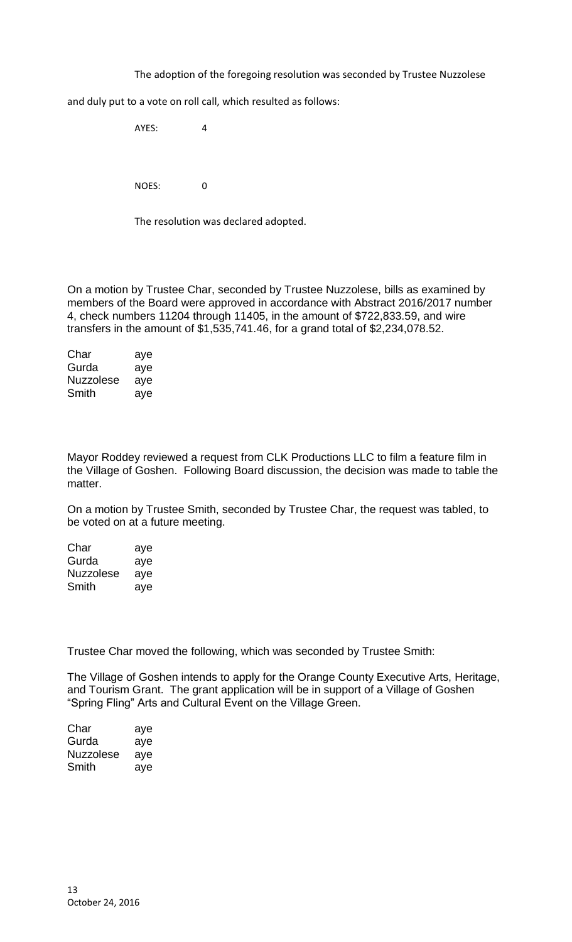The adoption of the foregoing resolution was seconded by Trustee Nuzzolese

and duly put to a vote on roll call, which resulted as follows:

AYES: 4 NOES: 0

The resolution was declared adopted.

On a motion by Trustee Char, seconded by Trustee Nuzzolese, bills as examined by members of the Board were approved in accordance with Abstract 2016/2017 number 4, check numbers 11204 through 11405, in the amount of \$722,833.59, and wire transfers in the amount of \$1,535,741.46, for a grand total of \$2,234,078.52.

| Char             | aye |
|------------------|-----|
| Gurda            | aye |
| <b>Nuzzolese</b> | aye |
| Smith            | aye |

Mayor Roddey reviewed a request from CLK Productions LLC to film a feature film in the Village of Goshen. Following Board discussion, the decision was made to table the matter.

On a motion by Trustee Smith, seconded by Trustee Char, the request was tabled, to be voted on at a future meeting.

| Char      | aye |
|-----------|-----|
| Gurda     | aye |
| Nuzzolese | aye |
| Smith     | aye |

Trustee Char moved the following, which was seconded by Trustee Smith:

The Village of Goshen intends to apply for the Orange County Executive Arts, Heritage, and Tourism Grant. The grant application will be in support of a Village of Goshen "Spring Fling" Arts and Cultural Event on the Village Green.

| Char      | aye |
|-----------|-----|
| Gurda     | aye |
| Nuzzolese | aye |
| Smith     | aye |